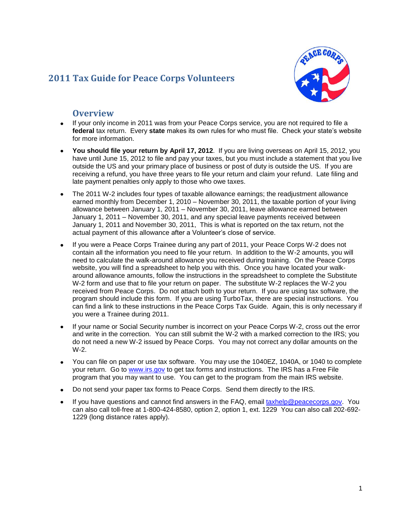# **2011 Tax Guide for Peace Corps Volunteers**



# **Overview**

- If your only income in 2011 was from your Peace Corps service, you are not required to file a **federal** tax return. Every **state** makes its own rules for who must file. Check your state's website for more information.
- **You should file your return by April 17, 2012**. If you are living overseas on April 15, 2012, you have until June 15, 2012 to file and pay your taxes, but you must include a statement that you live outside the US and your primary place of business or post of duty is outside the US. If you are receiving a refund, you have three years to file your return and claim your refund. Late filing and late payment penalties only apply to those who owe taxes.
- The 2011 W-2 includes four types of taxable allowance earnings; the readjustment allowance earned monthly from December 1, 2010 – November 30, 2011, the taxable portion of your living allowance between January 1, 2011 – November 30, 2011, leave allowance earned between January 1, 2011 – November 30, 2011, and any special leave payments received between January 1, 2011 and November 30, 2011, This is what is reported on the tax return, not the actual payment of this allowance after a Volunteer's close of service.
- If you were a Peace Corps Trainee during any part of 2011, your Peace Corps W-2 does not contain all the information you need to file your return. In addition to the W-2 amounts, you will need to calculate the walk-around allowance you received during training. On the Peace Corps website, you will find a spreadsheet to help you with this. Once you have located your walkaround allowance amounts, follow the instructions in the spreadsheet to complete the Substitute W-2 form and use that to file your return on paper. The substitute W-2 replaces the W-2 you received from Peace Corps. Do not attach both to your return. If you are using tax software, the program should include this form. If you are using TurboTax, there are special instructions. You can find a link to these instructions in the Peace Corps Tax Guide. Again, this is only necessary if you were a Trainee during 2011.
- If your name or Social Security number is incorrect on your Peace Corps W-2, cross out the error and write in the correction. You can still submit the W-2 with a marked correction to the IRS; you do not need a new W-2 issued by Peace Corps. You may not correct any dollar amounts on the W-2.
- You can file on paper or use tax software. You may use the 1040EZ, 1040A, or 1040 to complete your return. Go to [www.irs.gov](http://www.irs.gov/) to get tax forms and instructions. The IRS has a Free File program that you may want to use. You can get to the program from the main IRS website.
- Do not send your paper tax forms to Peace Corps. Send them directly to the IRS.
- If you have questions and cannot find answers in the FAQ, email [taxhelp@peacecorps.gov.](mailto:taxhelp@peacecorps.gov) You can also call toll-free at 1-800-424-8580, option 2, option 1, ext. 1229 You can also call 202-692- 1229 (long distance rates apply).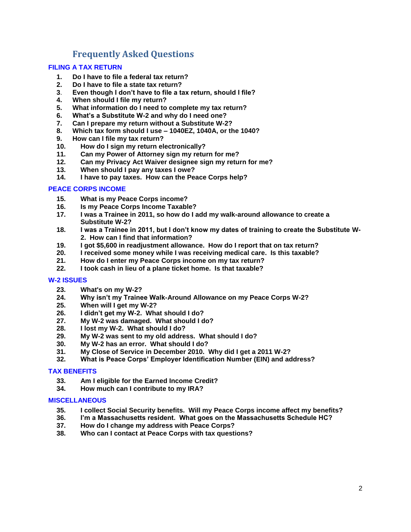# **Frequently Asked Questions**

# **[FILING A TAX RETURN](#page-2-0)**

- **1. [Do I have to file a federal tax return?](#page-2-1)**
- **2. [Do I have to file a state tax return?](#page-2-2)**
- **3**. **[Even though I don't have to file a tax return, should I file?](#page-2-3)**
- **4. [When should I file my return?](#page-2-4)**
- **5. [What information do I need to complete my tax return?](#page-3-0)**
- **6. [What's a Substitute W-2 and why do I need one?](#page-3-1)**
- **7. [Can I prepare my return without a Substitute W-2?](#page-3-2)**
- **8. [Which tax form should I use –](#page-3-3) 1040EZ, 1040A, or the 1040?**
- **9. [How can I file my tax return?](#page-4-0)**
- **10. [How do I sign my return electronically?](#page-4-1)**
- **11. [Can my Power of Attorney sign my return for me?](#page-4-2)**
- **12. [Can my Privacy Act Waiver designee sign my return for me?](#page-5-0)**
- **13. [When should I pay any taxes I owe?](#page-5-1)**
- **14. [I have to pay taxes. How can the Peace Corps help?](#page-5-2)**

# **[PEACE CORPS INCOME](#page-5-3)**

- **15. [What is my Peace Corps income?](#page-5-4)**
- **16. [Is my Peace Corps Income Taxable?](#page-6-0)**
- **17. [I was a Trainee in 2011, so how do I add my walk-around allowance to create a](#page-6-1)  [Substitute W-2?](#page-6-1)**
- **18. [I was a Trainee in 2011, but I don't know my dates of training to create the Substitute W-](#page-6-2)[2. How can I find that information?](#page-6-2)**
- **19. [I got \\$5,600 in readjustment allowance. How do I report that on tax return?](#page-7-0)**
- **20. [I received some money while I was receiving medical care. Is this taxable?](#page-7-1)**
- **21. [How do I enter my Peace Corps income on my tax return?](#page-7-2)**
- **22. [I took cash in lieu of a plane ticket home. Is that taxable?](#page-7-3)**

# **[W-2 ISSUES](#page-8-0)**

- **23. [What's on my W-2?](#page-8-1)**
- **24. [Why isn't my Trainee Walk-Around Allowance on my Peace Corps W-2?](#page-8-2)**
- **25. [When will I get my W-2?](#page-8-3)**
- **26. [I didn't get my W-2. What](#page-8-4) should I do?**
- **27. [My W-2 was damaged. What should I do?](#page-8-5)**
- **28. [I lost my W-2. What should I do?](#page-8-6)**
- **29. [My W-2 was sent to my old address. What should I do?](#page-9-0)**
- **30. [My W-2 has an error. What should I do?](#page-9-1)**
- **31. [My Close of Service in December 2010. Why did I get a 2011 W-2?](#page-9-2)**
- **32. [What is Peace Corps' Employer Identification Number \(EIN\) and address?](#page-9-3)**

# **[TAX BENEFITS](#page-9-4)**

- **33. [Am I eligible for the Earned Income Credit?](#page-10-0)**
- **34. [How much can I contribute to my IRA?](#page-10-1)**

# **[MISCELLANEOUS](#page-10-2)**

- **35. [I collect Social Security benefits. Will my Peace Corps income affect my benefits?](#page-10-3)**
- **36. [I'm a Massachusetts resident. What goes on the Massachusetts Schedule HC?](#page-11-0)**
- **37. [How do I change my address with Peace Corps?](#page-11-1)**
- **38. [Who can I contact at Peace Corps with tax questions?](#page-11-2)**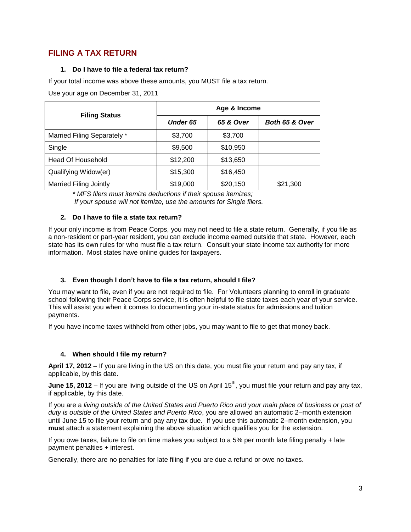# <span id="page-2-1"></span><span id="page-2-0"></span>**FILING A TAX RETURN**

# **1. Do I have to file a federal tax return?**

If your total income was above these amounts, you MUST file a tax return.

Use your age on December 31, 2011

| <b>Filing Status</b>          | Age & Income    |           |                |  |  |
|-------------------------------|-----------------|-----------|----------------|--|--|
|                               | <b>Under 65</b> | 65 & Over | Both 65 & Over |  |  |
| Married Filing Separately *   | \$3,700         | \$3,700   |                |  |  |
| Single                        | \$9,500         | \$10,950  |                |  |  |
| Head Of Household             | \$12,200        | \$13,650  |                |  |  |
| Qualifying Widow(er)          | \$15,300        | \$16,450  |                |  |  |
| <b>Married Filing Jointly</b> | \$19,000        | \$20,150  | \$21,300       |  |  |

*\* MFS filers must itemize deductions if their spouse itemizes; If your spouse will not itemize, use the amounts for Single filers.*

# <span id="page-2-2"></span>**2. Do I have to file a state tax return?**

If your only income is from Peace Corps, you may not need to file a state return. Generally, if you file as a non-resident or part-year resident, you can exclude income earned outside that state. However, each state has its own rules for who must file a tax return. Consult your state income tax authority for more information. Most states have online guides for taxpayers.

# <span id="page-2-3"></span>**3. Even though I don't have to file a tax return, should I file?**

You may want to file, even if you are not required to file. For Volunteers planning to enroll in graduate school following their Peace Corps service, it is often helpful to file state taxes each year of your service. This will assist you when it comes to documenting your in-state status for admissions and tuition payments.

If you have income taxes withheld from other jobs, you may want to file to get that money back.

# <span id="page-2-4"></span>**4. When should I file my return?**

**April 17, 2012** – If you are living in the US on this date, you must file your return and pay any tax, if applicable, by this date.

**June 15, 2012** – If you are living outside of the US on April 15<sup>th</sup>, you must file your return and pay any tax, if applicable, by this date.

If you are a *living outside of the United States and Puerto Rico and your main place of business or post of duty is outside of the United States and Puerto Rico*, you are allowed an automatic 2–month extension until June 15 to file your return and pay any tax due. If you use this automatic 2–month extension, you **must** attach a statement explaining the above situation which qualifies you for the extension.

If you owe taxes, failure to file on time makes you subject to a 5% per month late filing penalty + late payment penalties + interest.

Generally, there are no penalties for late filing if you are due a refund or owe no taxes.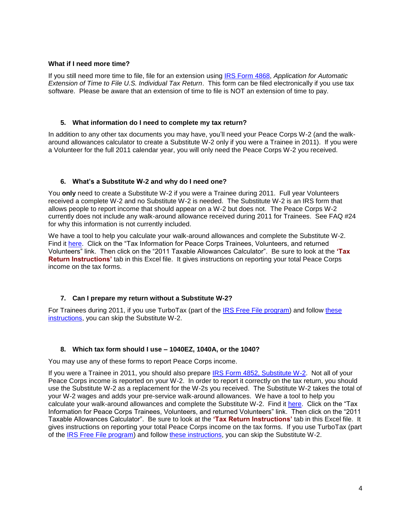# **What if I need more time?**

If you still need more time to file, file for an extension using [IRS Form 4868,](http://www.irs.gov/pub/irs-pdf/f4868.pdf) *Application for Automatic Extension of Time to File U.S. Individual Tax Return*. This form can be filed electronically if you use tax software. Please be aware that an extension of time to file is NOT an extension of time to pay.

#### <span id="page-3-0"></span>**5. What information do I need to complete my tax return?**

In addition to any other tax documents you may have, you'll need your Peace Corps W-2 (and the walkaround allowances calculator to create a Substitute W-2 only if you were a Trainee in 2011). If you were a Volunteer for the full 2011 calendar year, you will only need the Peace Corps W-2 you received.

#### <span id="page-3-1"></span>**6. What's a Substitute W-2 and why do I need one?**

You **only** need to create a Substitute W-2 if you were a Trainee during 2011. Full year Volunteers received a complete W-2 and no Substitute W-2 is needed. The Substitute W-2 is an IRS form that allows people to report income that should appear on a W-2 but does not. The Peace Corps W-2 currently does not include any walk-around allowance received during 2011 for Trainees. See FAQ #24 for why this information is not currently included.

We have a tool to help you calculate your walk-around allowances and complete the Substitute W-2. Find it [here.](http://www.peacecorps.gov/index.cfm?shell=about.Policies.docs) Click on the "Tax Information for Peace Corps Trainees, Volunteers, and returned Volunteers" link. Then click on the "2011 Taxable Allowances Calculator". Be sure to look at the 'Tax **Return Instructions'** tab in this Excel file. It gives instructions on reporting your total Peace Corps income on the tax forms.

# <span id="page-3-2"></span>**7. Can I prepare my return without a Substitute W-2?**

<span id="page-3-3"></span>For Trainees during 2011, if you use TurboTax (part of the [IRS Free File program\)](http://www.irs.gov/efile/article/0,,id=118986,00.html?portlet=4) and follow [these](http://turbotax.intuit.com/support/kb/tax-content/tax-tips/7395.html)  [instructions,](http://turbotax.intuit.com/support/kb/tax-content/tax-tips/7395.html) you can skip the Substitute W-2.

# **8. Which tax form should I use – 1040EZ, 1040A, or the 1040?**

You may use any of these forms to report Peace Corps income.

If you were a Trainee in 2011, you should also prepare [IRS Form 4852, Substitute W-2.](http://www.irs.gov/pub/irs-pdf/f4852.pdf) Not all of your Peace Corps income is reported on your W-2. In order to report it correctly on the tax return, you should use the Substitute W-2 as a replacement for the W-2s you received. The Substitute W-2 takes the total of your W-2 wages and adds your pre-service walk-around allowances. We have a tool to help you calculate your walk-around allowances and complete the Substitute W-2. Find it [here.](http://www.peacecorps.gov/index.cfm?shell=about.Policies.docs) Click on the "Tax" Information for Peace Corps Trainees, Volunteers, and returned Volunteers" link. Then click on the "2011 Taxable Allowances Calculator". Be sure to look at the 'Tax Return Instructions' tab in this Excel file. It gives instructions on reporting your total Peace Corps income on the tax forms. If you use TurboTax (part of the [IRS Free File program\)](http://www.irs.gov/efile/article/0,,id=118986,00.html?portlet=4) and follow [these instructions,](http://turbotax.intuit.com/support/kb/tax-content/tax-tips/7395.html) you can skip the Substitute W-2.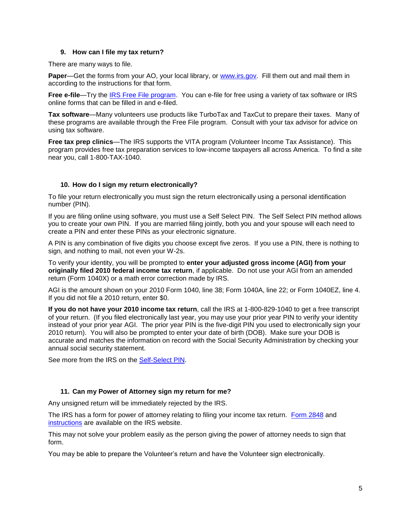# **9. How can I file my tax return?**

<span id="page-4-0"></span>There are many ways to file.

**Paper—Get the forms from your AO, your local library, or [www.irs.gov.](http://www.irs.gov/) Fill them out and mail them in** according to the instructions for that form.

**Free e-file**—Try the [IRS Free File program.](http://www.irs.gov/efile/article/0,,id=118986,00.html?portlet=4) You can e-file for free using a variety of tax software or IRS online forms that can be filled in and e-filed.

**Tax software**—Many volunteers use products like TurboTax and TaxCut to prepare their taxes. Many of these programs are available through the Free File program. Consult with your tax advisor for advice on using tax software.

**Free tax prep clinics**—The IRS supports the VITA program (Volunteer Income Tax Assistance). This program provides free tax preparation services to low-income taxpayers all across America. To find a site near you, call 1-800-TAX-1040.

# <span id="page-4-1"></span>**10. How do I sign my return electronically?**

To file your return electronically you must sign the return electronically using a personal identification number (PIN).

If you are filing online using software, you must use a Self Select PIN. The Self Select PIN method allows you to create your own PIN. If you are married filing jointly, both you and your spouse will each need to create a PIN and enter these PINs as your electronic signature.

A PIN is any combination of five digits you choose except five zeros. If you use a PIN, there is nothing to sign, and nothing to mail, not even your W-2s.

To verify your identity, you will be prompted to **enter your adjusted gross income (AGI) from your originally filed 2010 federal income tax return**, if applicable. Do not use your AGI from an amended return (Form 1040X) or a math error correction made by IRS.

AGI is the amount shown on your 2010 Form 1040, line 38; Form 1040A, line 22; or Form 1040EZ, line 4. If you did not file a 2010 return, enter \$0.

**If you do not have your 2010 income tax return**, call the IRS at 1-800-829-1040 to get a free transcript of your return. (If you filed electronically last year, you may use your prior year PIN to verify your identity instead of your prior year AGI. The prior year PIN is the five-digit PIN you used to electronically sign your 2010 return). You will also be prompted to enter your date of birth (DOB). Make sure your DOB is accurate and matches the information on record with the Social Security Administration by checking your annual social security statement.

<span id="page-4-2"></span>See more from the IRS on the [Self-Select PIN.](http://www.irs.gov/efile/article/0,,id=120000,00.html)

# **11. Can my Power of Attorney sign my return for me?**

Any unsigned return will be immediately rejected by the IRS.

The IRS has a form for power of attorney relating to filing your income tax return. [Form 2848](http://www.irs.gov/pub/irs-pdf/f2848.pdf) and [instructions](http://www.irs.gov/pub/irs-pdf/i2848.pdf) are available on the IRS website.

This may not solve your problem easily as the person giving the power of attorney needs to sign that form.

You may be able to prepare the Volunteer's return and have the Volunteer sign electronically.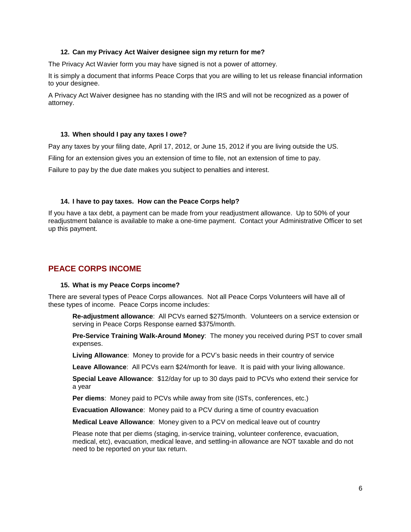# **12. Can my Privacy Act Waiver designee sign my return for me?**

<span id="page-5-0"></span>The Privacy Act Wavier form you may have signed is not a power of attorney.

It is simply a document that informs Peace Corps that you are willing to let us release financial information to your designee.

<span id="page-5-1"></span>A Privacy Act Waiver designee has no standing with the IRS and will not be recognized as a power of attorney.

# **13. When should I pay any taxes I owe?**

Pay any taxes by your filing date, April 17, 2012, or June 15, 2012 if you are living outside the US.

Filing for an extension gives you an extension of time to file, not an extension of time to pay.

<span id="page-5-2"></span>Failure to pay by the due date makes you subject to penalties and interest.

# **14. I have to pay taxes. How can the Peace Corps help?**

If you have a tax debt, a payment can be made from your readjustment allowance. Up to 50% of your readjustment balance is available to make a one-time payment. Contact your Administrative Officer to set up this payment.

# <span id="page-5-4"></span><span id="page-5-3"></span>**PEACE CORPS INCOME**

# **15. What is my Peace Corps income?**

There are several types of Peace Corps allowances. Not all Peace Corps Volunteers will have all of these types of income. Peace Corps income includes:

**Re-adjustment allowance**: All PCVs earned \$275/month. Volunteers on a service extension or serving in Peace Corps Response earned \$375/month.

**Pre-Service Training Walk-Around Money**: The money you received during PST to cover small expenses.

**Living Allowance**: Money to provide for a PCV's basic needs in their country of service

**Leave Allowance**: All PCVs earn \$24/month for leave. It is paid with your living allowance.

**Special Leave Allowance**: \$12/day for up to 30 days paid to PCVs who extend their service for a year

**Per diems**: Money paid to PCVs while away from site (ISTs, conferences, etc.)

**Evacuation Allowance**: Money paid to a PCV during a time of country evacuation

**Medical Leave Allowance**: Money given to a PCV on medical leave out of country

Please note that per diems (staging, in-service training, volunteer conference, evacuation, medical, etc), evacuation, medical leave, and settling-in allowance are NOT taxable and do not need to be reported on your tax return.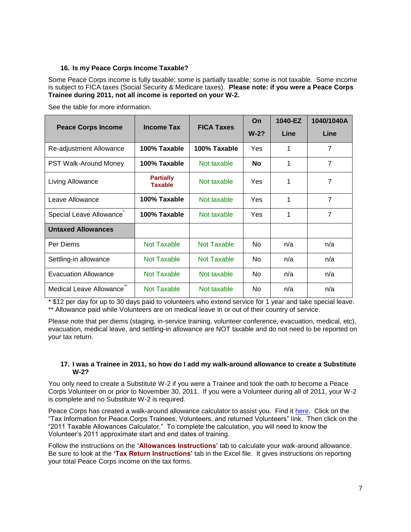# <span id="page-6-0"></span>**16. Is my Peace Corps Income Taxable?**

Some Peace Corps income is fully taxable; some is partially taxable; some is not taxable. Some income is subject to FICA taxes (Social Security & Medicare taxes). **Please note: if you were a Peace Corps Trainee during 2011, not all income is reported on your W-2.**

See the table for more information.

| <b>Peace Corps Income</b> | <b>Income Tax</b>                  | <b>FICA Taxes</b>  | On         | 1040-EZ     | 1040/1040A     |
|---------------------------|------------------------------------|--------------------|------------|-------------|----------------|
|                           |                                    |                    | $W-2?$     | <b>Line</b> | Line           |
| Re-adjustment Allowance   | 100% Taxable                       | 100% Taxable       | Yes        | 1           | $\overline{7}$ |
| PST Walk-Around Money     | 100% Taxable                       | Not taxable        | <b>No</b>  | 1           | $\overline{7}$ |
| Living Allowance          | <b>Partially</b><br><b>Taxable</b> | Not taxable        | <b>Yes</b> | 1           | 7              |
| Leave Allowance           | 100% Taxable                       | Not taxable        | Yes        | 1           | $\overline{7}$ |
| Special Leave Allowance   | 100% Taxable                       | Not taxable        | <b>Yes</b> | 1           | $\overline{7}$ |
| <b>Untaxed Allowances</b> |                                    |                    |            |             |                |
| Per Diems                 | Not Taxable                        | Not Taxable        | <b>No</b>  | n/a         | n/a            |
| Settling-in allowance     | <b>Not Taxable</b>                 | <b>Not Taxable</b> | No         | n/a         | n/a            |
| Evacuation Allowance      | Not Taxable                        | Not taxable        | No.        | n/a         | n/a            |
| Medical Leave Allowance   | Not Taxable                        | Not taxable        | No.        | n/a         | n/a            |

\* \$12 per day for up to 30 days paid to volunteers who extend service for 1 year and take special leave. \*\* Allowance paid while Volunteers are on medical leave in or out of their country of service.

Please note that per diems (staging, in-service training, volunteer conference, evacuation, medical, etc), evacuation, medical leave, and settling-in allowance are NOT taxable and do not need to be reported on your tax return.

# <span id="page-6-1"></span>**17. I was a Trainee in 2011, so how do I add my walk-around allowance to create a Substitute W-2?**

You only need to create a Substitute W-2 if you were a Trainee and took the oath to become a Peace Corps Volunteer on or prior to November 30, 2011. If you were a Volunteer during all of 2011, your W-2 is complete and no Substitute W-2 is required.

Peace Corps has created a walk-around allowance calculator to assist you. Find it [here.](http://www.peacecorps.gov/index.cfm?shell=about.Policies.docs) Click on the ―Tax Information for Peace Corps Trainees, Volunteers, and returned Volunteers‖ link. Then click on the "2011 Taxable Allowances Calculator." To complete the calculation, you will need to know the Volunteer's 2011 approximate start and end dates of training.

<span id="page-6-2"></span>Follow the instructions on the **'Allowances Instructions'** tab to calculate your walk-around allowance. Be sure to look at the **'Tax Return Instructions'** tab in the Excel file. It gives instructions on reporting your total Peace Corps income on the tax forms.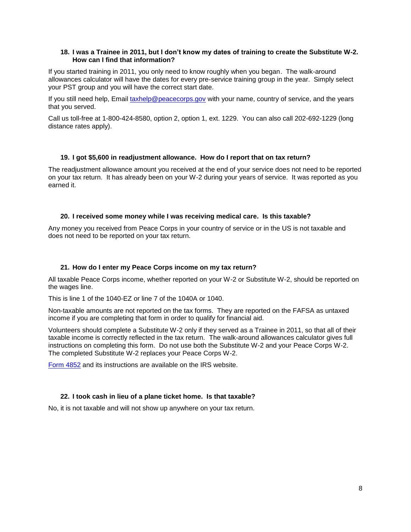# **18. I was a Trainee in 2011, but I don't know my dates of training to create the Substitute W-2. How can I find that information?**

If you started training in 2011, you only need to know roughly when you began. The walk-around allowances calculator will have the dates for every pre-service training group in the year. Simply select your PST group and you will have the correct start date.

If you still need help, Email [taxhelp@peacecorps.gov](mailto:taxhelp@peacecorps.gov) with your name, country of service, and the years that you served.

<span id="page-7-0"></span>Call us toll-free at 1-800-424-8580, option 2, option 1, ext. 1229. You can also call 202-692-1229 (long distance rates apply).

# **19. I got \$5,600 in readjustment allowance. How do I report that on tax return?**

The readjustment allowance amount you received at the end of your service does not need to be reported on your tax return. It has already been on your W-2 during your years of service. It was reported as you earned it.

# <span id="page-7-1"></span>**20. I received some money while I was receiving medical care. Is this taxable?**

<span id="page-7-2"></span>Any money you received from Peace Corps in your country of service or in the US is not taxable and does not need to be reported on your tax return.

# **21. How do I enter my Peace Corps income on my tax return?**

All taxable Peace Corps income, whether reported on your W-2 or Substitute W-2, should be reported on the wages line.

This is line 1 of the 1040-EZ or line 7 of the 1040A or 1040.

Non-taxable amounts are not reported on the tax forms. They are reported on the FAFSA as untaxed income if you are completing that form in order to qualify for financial aid.

Volunteers should complete a Substitute W-2 only if they served as a Trainee in 2011, so that all of their taxable income is correctly reflected in the tax return. The walk-around allowances calculator gives full instructions on completing this form. Do not use both the Substitute W-2 and your Peace Corps W-2. The completed Substitute W-2 replaces your Peace Corps W-2.

<span id="page-7-3"></span>[Form 4852](http://www.irs.gov/pub/irs-pdf/f4852.pdf) and its instructions are available on the IRS website.

# **22. I took cash in lieu of a plane ticket home. Is that taxable?**

No, it is not taxable and will not show up anywhere on your tax return.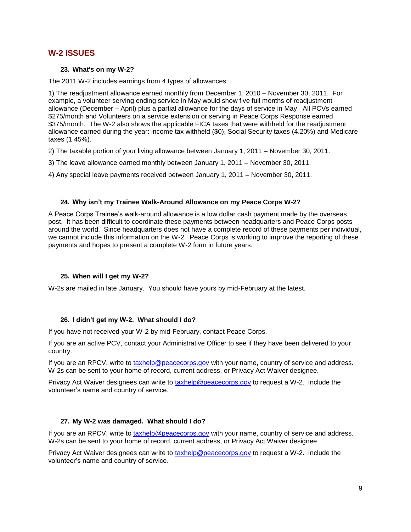# <span id="page-8-1"></span><span id="page-8-0"></span>**W-2 ISSUES**

# **23. What's on my W-2?**

The 2011 W-2 includes earnings from 4 types of allowances:

1) The readjustment allowance earned monthly from December 1, 2010 – November 30, 2011. For example, a volunteer serving ending service in May would show five full months of readjustment allowance (December – April) plus a partial allowance for the days of service in May. All PCVs earned \$275/month and Volunteers on a service extension or serving in Peace Corps Response earned \$375/month. The W-2 also shows the applicable FICA taxes that were withheld for the readjustment allowance earned during the year: income tax withheld (\$0), Social Security taxes (4.20%) and Medicare taxes (1.45%).

2) The taxable portion of your living allowance between January 1, 2011 – November 30, 2011.

3) The leave allowance earned monthly between January 1, 2011 – November 30, 2011.

4) Any special leave payments received between January 1, 2011 – November 30, 2011.

# <span id="page-8-2"></span>**24. Why isn't my Trainee Walk-Around Allowance on my Peace Corps W-2?**

A Peace Corps Trainee's walk-around allowance is a low dollar cash payment made by the overseas post. It has been difficult to coordinate these payments between headquarters and Peace Corps posts around the world. Since headquarters does not have a complete record of these payments per individual, we cannot include this information on the W-2. Peace Corps is working to improve the reporting of these payments and hopes to present a complete W-2 form in future years.

# <span id="page-8-3"></span>**25. When will I get my W-2?**

<span id="page-8-4"></span>W-2s are mailed in late January. You should have yours by mid-February at the latest.

# **26. I didn't get my W-2. What should I do?**

If you have not received your W-2 by mid-February, contact Peace Corps.

If you are an active PCV, contact your Administrative Officer to see if they have been delivered to your country.

If you are an RPCV, write to [taxhelp@peacecorps.gov](mailto:taxhelp@peacecorps.gov) with your name, country of service and address. W-2s can be sent to your home of record, current address, or Privacy Act Waiver designee.

<span id="page-8-5"></span>Privacy Act Waiver designees can write to [taxhelp@peacecorps.gov](mailto:taxhelp@peacecorps.gov) to request a W-2. Include the volunteer's name and country of service.

# **27. My W-2 was damaged. What should I do?**

If you are an RPCV, write to [taxhelp@peacecorps.gov](mailto:taxhelp@peacecorps.gov) with your name, country of service and address. W-2s can be sent to your home of record, current address, or Privacy Act Waiver designee.

<span id="page-8-6"></span>Privacy Act Waiver designees can write to [taxhelp@peacecorps.gov](mailto:taxhelp@peacecorps.gov) to request a W-2. Include the volunteer's name and country of service.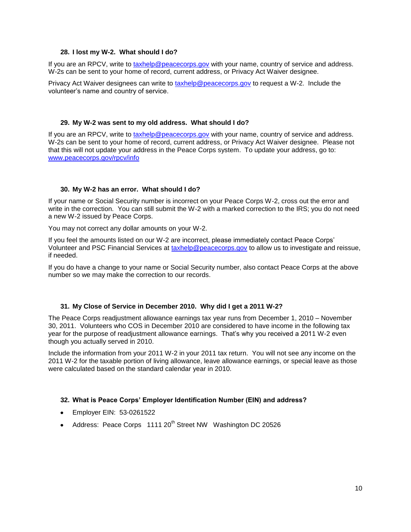# **28. I lost my W-2. What should I do?**

If you are an RPCV, write to [taxhelp@peacecorps.gov](mailto:taxhelp@peacecorps.gov) with your name, country of service and address. W-2s can be sent to your home of record, current address, or Privacy Act Waiver designee.

<span id="page-9-0"></span>Privacy Act Waiver designees can write to [taxhelp@peacecorps.gov](mailto:taxhelp@peacecorps.gov) to request a W-2. Include the volunteer's name and country of service.

# **29. My W-2 was sent to my old address. What should I do?**

If you are an RPCV, write to [taxhelp@peacecorps.gov](mailto:taxhelp@peacecorps.gov) with your name, country of service and address. W-2s can be sent to your home of record, current address, or Privacy Act Waiver designee. Please not that this will not update your address in the Peace Corps system. To update your address, go to: [www.peacecorps.gov/rpcv/info](http://www.peacecorps.gov/rpcv/info)

# <span id="page-9-1"></span>**30. My W-2 has an error. What should I do?**

If your name or Social Security number is incorrect on your Peace Corps W-2, cross out the error and write in the correction. You can still submit the W-2 with a marked correction to the IRS; you do not need a new W-2 issued by Peace Corps.

You may not correct any dollar amounts on your W-2.

If you feel the amounts listed on our W-2 are incorrect, please immediately contact Peace Corps' Volunteer and PSC Financial Services at [taxhelp@peacecorps.gov](mailto:taxhelp@peacecorps.gov) to allow us to investigate and reissue, if needed.

<span id="page-9-2"></span>If you do have a change to your name or Social Security number, also contact Peace Corps at the above number so we may make the correction to our records.

# **31. My Close of Service in December 2010. Why did I get a 2011 W-2?**

The Peace Corps readjustment allowance earnings tax year runs from December 1, 2010 – November 30, 2011. Volunteers who COS in December 2010 are considered to have income in the following tax year for the purpose of readjustment allowance earnings. That's why you received a 2011 W-2 even though you actually served in 2010.

Include the information from your 2011 W-2 in your 2011 tax return. You will not see any income on the 2011 W-2 for the taxable portion of living allowance, leave allowance earnings, or special leave as those were calculated based on the standard calendar year in 2010.

# <span id="page-9-3"></span>**32. What is Peace Corps' Employer Identification Number (EIN) and address?**

- Employer EIN: 53-0261522
- <span id="page-9-4"></span>• Address: Peace Corps 1111 20<sup>th</sup> Street NW Washington DC 20526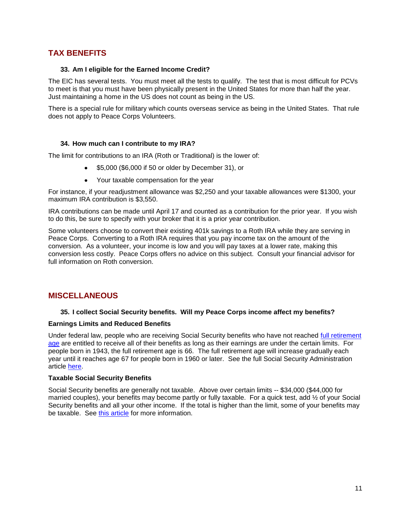# <span id="page-10-0"></span>**TAX BENEFITS**

# **33. Am I eligible for the Earned Income Credit?**

The EIC has several tests. You must meet all the tests to qualify. The test that is most difficult for PCVs to meet is that you must have been physically present in the United States for more than half the year. Just maintaining a home in the US does not count as being in the US.

There is a special rule for military which counts overseas service as being in the United States. That rule does not apply to Peace Corps Volunteers.

# <span id="page-10-1"></span>**34. How much can I contribute to my IRA?**

The limit for contributions to an IRA (Roth or Traditional) is the lower of:

- \$5,000 (\$6,000 if 50 or older by December 31), or
- Your taxable compensation for the year

For instance, if your readjustment allowance was \$2,250 and your taxable allowances were \$1300, your maximum IRA contribution is \$3,550.

IRA contributions can be made until April 17 and counted as a contribution for the prior year. If you wish to do this, be sure to specify with your broker that it is a prior year contribution.

Some volunteers choose to convert their existing 401k savings to a Roth IRA while they are serving in Peace Corps. Converting to a Roth IRA requires that you pay income tax on the amount of the conversion. As a volunteer, your income is low and you will pay taxes at a lower rate, making this conversion less costly. Peace Corps offers no advice on this subject. Consult your financial advisor for full information on Roth conversion.

# <span id="page-10-3"></span><span id="page-10-2"></span>**MISCELLANEOUS**

# **35. I collect Social Security benefits. Will my Peace Corps income affect my benefits?**

# **Earnings Limits and Reduced Benefits**

Under federal law, people who are receiving Social Security benefits who have not reached full retirement [age](http://www.ssa.gov/retire2/retirechart.htm) are entitled to receive all of their benefits as long as their earnings are under the certain limits. For people born in 1943, the full retirement age is 66. The full retirement age will increase gradually each year until it reaches age 67 for people born in 1960 or later. See the full Social Security Administration article [here.](http://www.ssa.gov/pubs/10003.html)

# **Taxable Social Security Benefits**

Social Security benefits are generally not taxable. Above over certain limits -- \$34,000 (\$44,000 for married couples), your benefits may become partly or fully taxable. For a quick test, add ½ of your Social Security benefits and all your other income. If the total is higher than the limit, some of your benefits may be taxable. See [this article](http://www.irs.gov/pub/irs-pdf/p915.pdf) for more information.